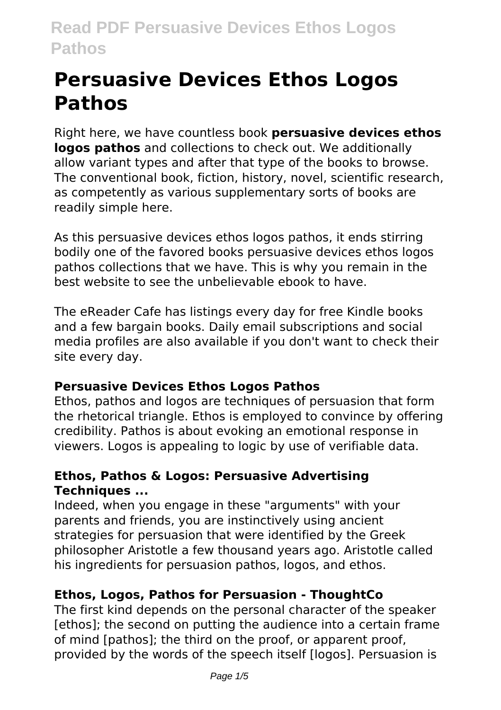# **Persuasive Devices Ethos Logos Pathos**

Right here, we have countless book **persuasive devices ethos logos pathos** and collections to check out. We additionally allow variant types and after that type of the books to browse. The conventional book, fiction, history, novel, scientific research, as competently as various supplementary sorts of books are readily simple here.

As this persuasive devices ethos logos pathos, it ends stirring bodily one of the favored books persuasive devices ethos logos pathos collections that we have. This is why you remain in the best website to see the unbelievable ebook to have.

The eReader Cafe has listings every day for free Kindle books and a few bargain books. Daily email subscriptions and social media profiles are also available if you don't want to check their site every day.

# **Persuasive Devices Ethos Logos Pathos**

Ethos, pathos and logos are techniques of persuasion that form the rhetorical triangle. Ethos is employed to convince by offering credibility. Pathos is about evoking an emotional response in viewers. Logos is appealing to logic by use of verifiable data.

# **Ethos, Pathos & Logos: Persuasive Advertising Techniques ...**

Indeed, when you engage in these "arguments" with your parents and friends, you are instinctively using ancient strategies for persuasion that were identified by the Greek philosopher Aristotle a few thousand years ago. Aristotle called his ingredients for persuasion pathos, logos, and ethos.

# **Ethos, Logos, Pathos for Persuasion - ThoughtCo**

The first kind depends on the personal character of the speaker [ethos]; the second on putting the audience into a certain frame of mind [pathos]; the third on the proof, or apparent proof, provided by the words of the speech itself [logos]. Persuasion is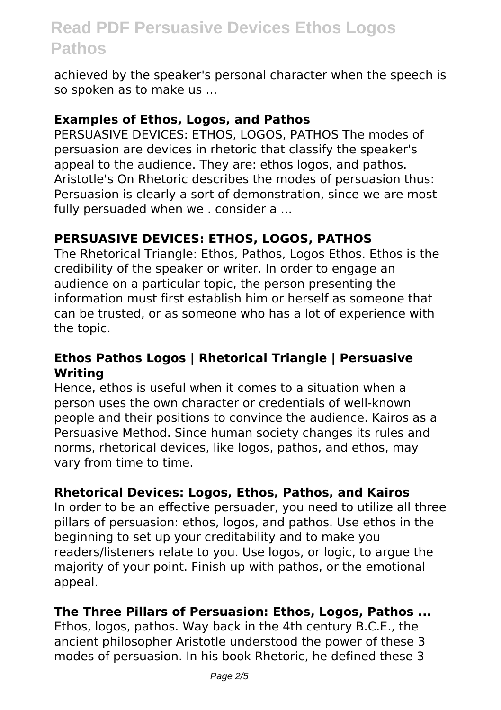achieved by the speaker's personal character when the speech is so spoken as to make us ...

#### **Examples of Ethos, Logos, and Pathos**

PERSUASIVE DEVICES: ETHOS, LOGOS, PATHOS The modes of persuasion are devices in rhetoric that classify the speaker's appeal to the audience. They are: ethos logos, and pathos. Aristotle's On Rhetoric describes the modes of persuasion thus: Persuasion is clearly a sort of demonstration, since we are most fully persuaded when we . consider a ...

# **PERSUASIVE DEVICES: ETHOS, LOGOS, PATHOS**

The Rhetorical Triangle: Ethos, Pathos, Logos Ethos. Ethos is the credibility of the speaker or writer. In order to engage an audience on a particular topic, the person presenting the information must first establish him or herself as someone that can be trusted, or as someone who has a lot of experience with the topic.

#### **Ethos Pathos Logos | Rhetorical Triangle | Persuasive Writing**

Hence, ethos is useful when it comes to a situation when a person uses the own character or credentials of well-known people and their positions to convince the audience. Kairos as a Persuasive Method. Since human society changes its rules and norms, rhetorical devices, like logos, pathos, and ethos, may vary from time to time.

# **Rhetorical Devices: Logos, Ethos, Pathos, and Kairos**

In order to be an effective persuader, you need to utilize all three pillars of persuasion: ethos, logos, and pathos. Use ethos in the beginning to set up your creditability and to make you readers/listeners relate to you. Use logos, or logic, to argue the majority of your point. Finish up with pathos, or the emotional appeal.

#### **The Three Pillars of Persuasion: Ethos, Logos, Pathos ...**

Ethos, logos, pathos. Way back in the 4th century B.C.E., the ancient philosopher Aristotle understood the power of these 3 modes of persuasion. In his book Rhetoric, he defined these 3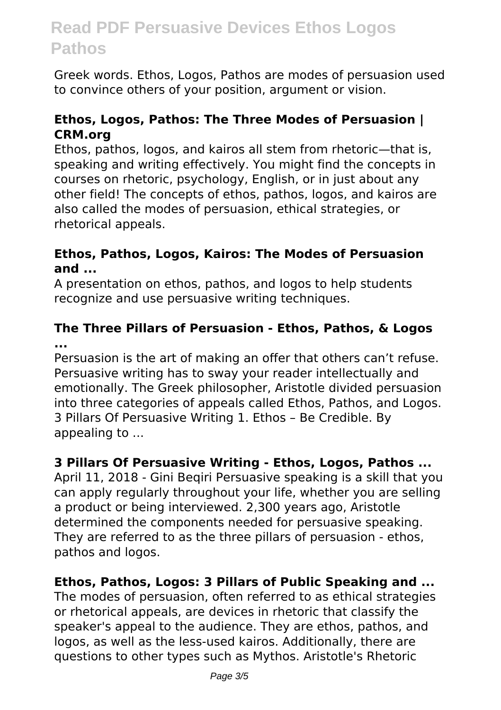Greek words. Ethos, Logos, Pathos are modes of persuasion used to convince others of your position, argument or vision.

#### **Ethos, Logos, Pathos: The Three Modes of Persuasion | CRM.org**

Ethos, pathos, logos, and kairos all stem from rhetoric—that is, speaking and writing effectively. You might find the concepts in courses on rhetoric, psychology, English, or in just about any other field! The concepts of ethos, pathos, logos, and kairos are also called the modes of persuasion, ethical strategies, or rhetorical appeals.

#### **Ethos, Pathos, Logos, Kairos: The Modes of Persuasion and ...**

A presentation on ethos, pathos, and logos to help students recognize and use persuasive writing techniques.

#### **The Three Pillars of Persuasion - Ethos, Pathos, & Logos ...**

Persuasion is the art of making an offer that others can't refuse. Persuasive writing has to sway your reader intellectually and emotionally. The Greek philosopher, Aristotle divided persuasion into three categories of appeals called Ethos, Pathos, and Logos. 3 Pillars Of Persuasive Writing 1. Ethos – Be Credible. By appealing to ...

# **3 Pillars Of Persuasive Writing - Ethos, Logos, Pathos ...**

April 11, 2018 - Gini Beqiri Persuasive speaking is a skill that you can apply regularly throughout your life, whether you are selling a product or being interviewed. 2,300 years ago, Aristotle determined the components needed for persuasive speaking. They are referred to as the three pillars of persuasion - ethos, pathos and logos.

# **Ethos, Pathos, Logos: 3 Pillars of Public Speaking and ...**

The modes of persuasion, often referred to as ethical strategies or rhetorical appeals, are devices in rhetoric that classify the speaker's appeal to the audience. They are ethos, pathos, and logos, as well as the less-used kairos. Additionally, there are questions to other types such as Mythos. Aristotle's Rhetoric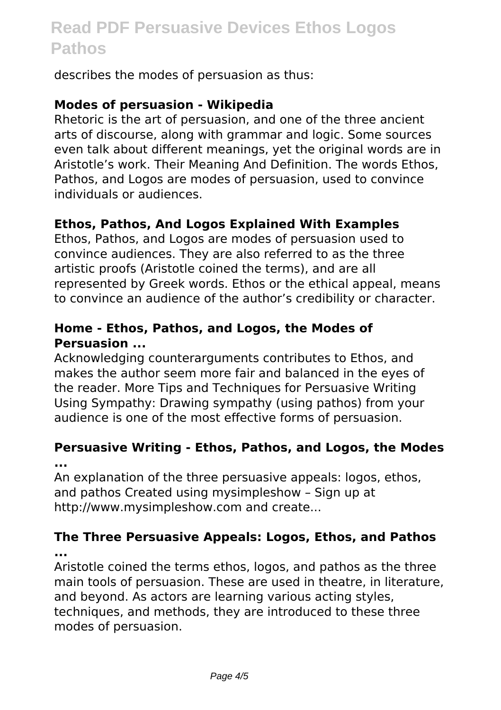describes the modes of persuasion as thus:

#### **Modes of persuasion - Wikipedia**

Rhetoric is the art of persuasion, and one of the three ancient arts of discourse, along with grammar and logic. Some sources even talk about different meanings, yet the original words are in Aristotle's work. Their Meaning And Definition. The words Ethos, Pathos, and Logos are modes of persuasion, used to convince individuals or audiences.

#### **Ethos, Pathos, And Logos Explained With Examples**

Ethos, Pathos, and Logos are modes of persuasion used to convince audiences. They are also referred to as the three artistic proofs (Aristotle coined the terms), and are all represented by Greek words. Ethos or the ethical appeal, means to convince an audience of the author's credibility or character.

#### **Home - Ethos, Pathos, and Logos, the Modes of Persuasion ...**

Acknowledging counterarguments contributes to Ethos, and makes the author seem more fair and balanced in the eyes of the reader. More Tips and Techniques for Persuasive Writing Using Sympathy: Drawing sympathy (using pathos) from your audience is one of the most effective forms of persuasion.

# **Persuasive Writing - Ethos, Pathos, and Logos, the Modes ...**

An explanation of the three persuasive appeals: logos, ethos, and pathos Created using mysimpleshow – Sign up at http://www.mysimpleshow.com and create...

#### **The Three Persuasive Appeals: Logos, Ethos, and Pathos ...**

Aristotle coined the terms ethos, logos, and pathos as the three main tools of persuasion. These are used in theatre, in literature, and beyond. As actors are learning various acting styles, techniques, and methods, they are introduced to these three modes of persuasion.